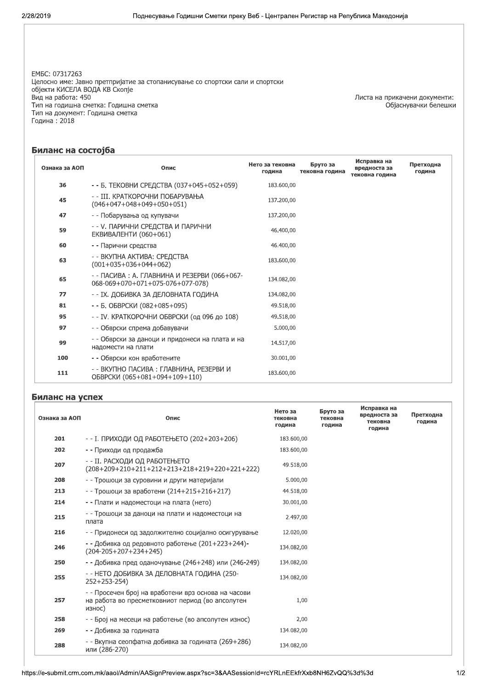EM5C: 07317263 Целосно име: Јавно претпријатие за стопанисување со спортски сали и спортски објекти КИСЕЛА ВОДА КВ Скопје Вид на работа: 450 Тип на годишна сметка: Годишна сметка Тип на документ: Годишна сметка Година: 2018

Листа на прикачени документи:<br>Објаснувачки белешки

## Биланс на состојба

| Ознака за АОП | Опис                                                                             | Нето за тековна<br>година | Бруто за<br>тековна година | Исправка на<br>вредноста за<br>тековна година | Претходна<br>година |
|---------------|----------------------------------------------------------------------------------|---------------------------|----------------------------|-----------------------------------------------|---------------------|
| 36            | - - Б. ТЕКОВНИ СРЕДСТВА (037+045+052+059)                                        | 183.600,00                |                            |                                               |                     |
| 45            | - - III. КРАТКОРОЧНИ ПОБАРУВАЊА<br>$(046+047+048+049+050+051)$                   | 137.200,00                |                            |                                               |                     |
| 47            | - - Побарувања од купувачи                                                       | 137.200,00                |                            |                                               |                     |
| 59            | - - У. ПАРИЧНИ СРЕДСТВА И ПАРИЧНИ<br><b>ЕКВИВАЛЕНТИ (060+061)</b>                | 46.400,00                 |                            |                                               |                     |
| 60            | - - Парични средства                                                             | 46.400,00                 |                            |                                               |                     |
| 63            | - - ВКУПНА АКТИВА: СРЕДСТВА<br>$(001+035+036+044+062)$                           | 183.600,00                |                            |                                               |                     |
| 65            | - - ПАСИВА : А. ГЛАВНИНА И РЕЗЕРВИ (066+067-<br>068-069+070+071+075-076+077-078) | 134.082,00                |                            |                                               |                     |
| 77            | - - IX. ДОБИВКА ЗА ДЕЛОВНАТА ГОДИНА                                              | 134.082,00                |                            |                                               |                     |
| 81            | - - Б. ОБВРСКИ (082+085+095)                                                     | 49.518,00                 |                            |                                               |                     |
| 95            | - - IV. КРАТКОРОЧНИ ОБВРСКИ (од 096 до 108)                                      | 49.518,00                 |                            |                                               |                     |
| 97            | - - Обврски спрема добавувачи                                                    | 5.000,00                  |                            |                                               |                     |
| 99            | - - Обврски за даноци и придонеси на плата и на<br>надомести на плати            | 14.517,00                 |                            |                                               |                     |
| 100           | - - Обврски кон вработените                                                      | 30.001,00                 |                            |                                               |                     |
| 111           | - - ВКУПНО ПАСИВА : ГЛАВНИНА, РЕЗЕРВИ И<br>ОБВРСКИ (065+081+094+109+110)         | 183.600,00                |                            |                                               |                     |

## Биланс на успех

| Ознака за АОП | Опис                                                                                                              | Нето за<br>тековна<br>година | Бруто за<br>тековна<br>година | Исправка на<br>вредноста за<br>тековна<br>година | Претходна<br>година |  |
|---------------|-------------------------------------------------------------------------------------------------------------------|------------------------------|-------------------------------|--------------------------------------------------|---------------------|--|
| 201           | - - І. ПРИХОДИ ОД РАБОТЕЊЕТО (202+203+206)                                                                        | 183.600,00                   |                               |                                                  |                     |  |
| 202           | - - Приходи од продажба                                                                                           | 183.600,00                   |                               |                                                  |                     |  |
| 207           | - - II. РАСХОДИ ОД РАБОТЕЊЕТО<br>(208+209+210+211+212+213+218+219+220+221+222)                                    | 49.518,00                    |                               |                                                  |                     |  |
| 208           | - - Трошоци за суровини и други материјали                                                                        | 5.000,00                     |                               |                                                  |                     |  |
| 213           | - - Трошоци за вработени (214+215+216+217)                                                                        | 44.518,00                    |                               |                                                  |                     |  |
| 214           | - - Плати и надоместоци на плата (нето)                                                                           | 30.001,00                    |                               |                                                  |                     |  |
| 215           | - - Трошоци за даноци на плати и надоместоци на<br>плата                                                          | 2.497,00                     |                               |                                                  |                     |  |
| 216           | - - Придонеси од задолжително социјално осигурување                                                               | 12.020,00                    |                               |                                                  |                     |  |
| 246           | - - Добивка од редовното работење (201+223+244)-<br>$(204 - 205 + 207 + 234 + 245)$                               | 134.082,00                   |                               |                                                  |                     |  |
| 250           | - - Добивка пред оданочување (246+248) или (246-249)                                                              | 134.082,00                   |                               |                                                  |                     |  |
| 255           | - - НЕТО ДОБИВКА ЗА ДЕЛОВНАТА ГОДИНА (250-<br>$252+253-254$                                                       | 134.082,00                   |                               |                                                  |                     |  |
| 257           | - - Просечен број на вработени врз основа на часови<br>на работа во пресметковниот период (во апсолутен<br>износ) | 1,00                         |                               |                                                  |                     |  |
| 258           | - - Број на месеци на работење (во апсолутен износ)                                                               | 2,00                         |                               |                                                  |                     |  |
| 269           | - - Добивка за годината                                                                                           | 134.082,00                   |                               |                                                  |                     |  |
| 288           | - - Вкупна сеопфатна добивка за годината (269+286)<br>или (286-270)                                               | 134.082,00                   |                               |                                                  |                     |  |